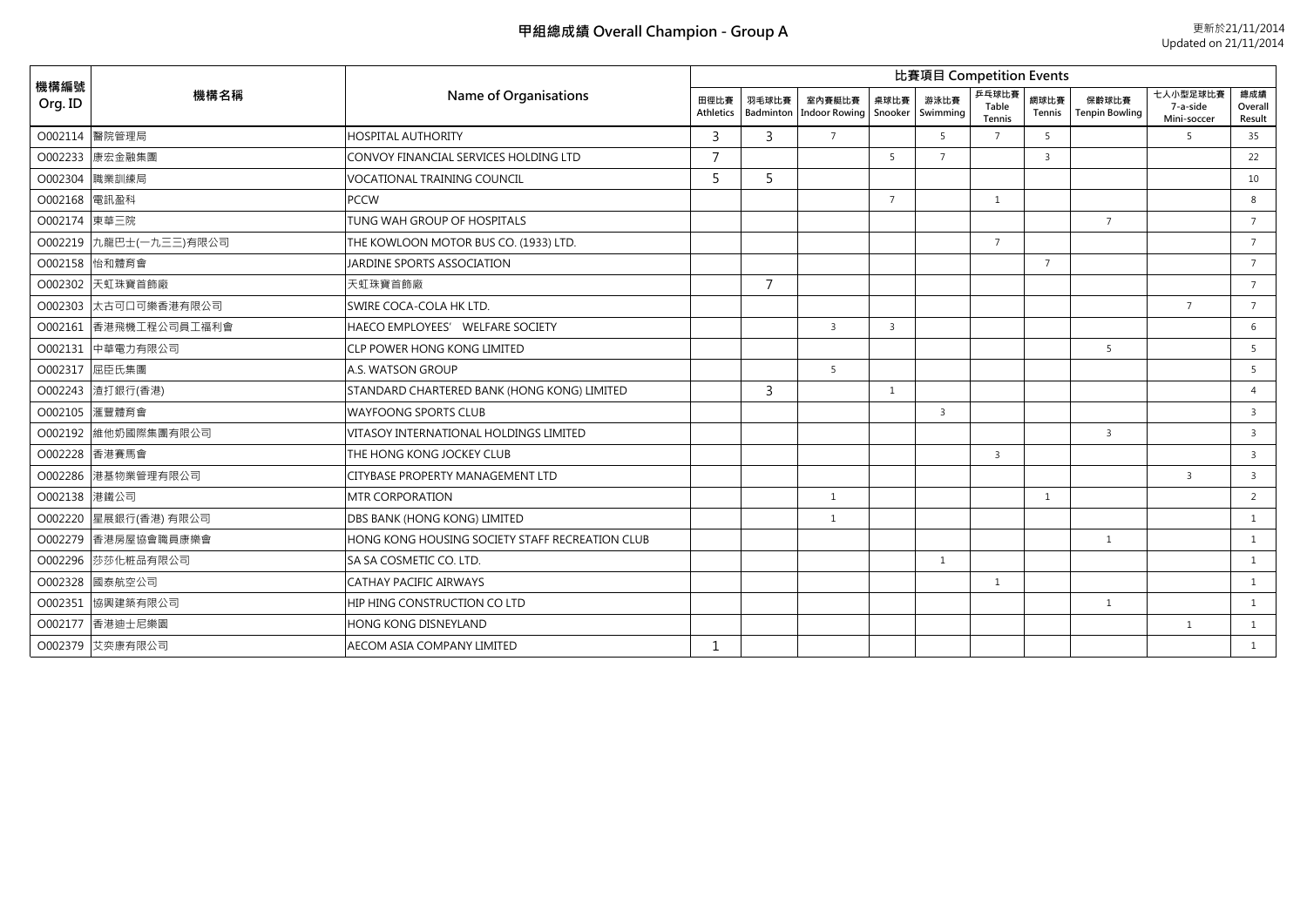| 機構編號<br>Org. ID |                        |                                                 | 比賽項目 Competition Events |                |                |                               |                  |                          |                |                                |                                     |                          |  |  |
|-----------------|------------------------|-------------------------------------------------|-------------------------|----------------|----------------|-------------------------------|------------------|--------------------------|----------------|--------------------------------|-------------------------------------|--------------------------|--|--|
|                 | 機構名稱                   | Name of Organisations<br>田徑比賽<br>Athletics      |                         |                |                | 桌球比賽<br>Indoor Rowing Snooker | 游泳比賽<br>Swimming | 乒乓球比賽<br>Table<br>Tennis | 網球比賽<br>Tennis | 保齢球比賽<br><b>Tenpin Bowling</b> | 七人小型足球比賽<br>7-a-side<br>Mini-soccer | 總成績<br>Overall<br>Result |  |  |
| O002114         | 醫院管理局                  | <b>HOSPITAL AUTHORITY</b>                       | 3                       | 3              | $7^{\circ}$    |                               | 5                | $\overline{7}$           | 5              |                                | 5                                   | 35                       |  |  |
|                 | O002233 康宏金融集團         | CONVOY FINANCIAL SERVICES HOLDING LTD           | $\overline{7}$          |                |                | -5                            | $\overline{7}$   |                          | $\overline{3}$ |                                |                                     | 22                       |  |  |
| O002304         | 職業訓練局                  | <b>VOCATIONAL TRAINING COUNCIL</b>              | 5                       | 5              |                |                               |                  |                          |                |                                |                                     | 10                       |  |  |
| O002168 電訊盈科    |                        | <b>PCCW</b>                                     |                         |                |                | $\overline{7}$                |                  | $\mathbf{1}$             |                |                                |                                     | 8                        |  |  |
| O002174 東華三院    |                        | TUNG WAH GROUP OF HOSPITALS                     |                         |                |                |                               |                  |                          |                | $\overline{7}$                 |                                     | $7\overline{ }$          |  |  |
|                 | O002219 九龍巴士(一九三三)有限公司 | THE KOWLOON MOTOR BUS CO. (1933) LTD.           |                         |                |                |                               |                  | $\overline{7}$           |                |                                |                                     | $7\overline{ }$          |  |  |
|                 | O002158 怡和體育會          | JARDINE SPORTS ASSOCIATION                      |                         |                |                |                               |                  |                          | $\overline{7}$ |                                |                                     | $\overline{7}$           |  |  |
|                 | O002302 天虹珠寶首飾廠        | 天虹珠寶首飾廠                                         |                         | $\overline{7}$ |                |                               |                  |                          |                |                                |                                     | $7\overline{ }$          |  |  |
|                 | O002303 太古可口可樂香港有限公司   | SWIRE COCA-COLA HK LTD.                         |                         |                |                |                               |                  |                          |                |                                | $\overline{7}$                      | $7^{\circ}$              |  |  |
|                 | O002161 香港飛機工程公司員工福利會  | HAECO EMPLOYEES' WELFARE SOCIETY                |                         |                | $\overline{3}$ | $\overline{3}$                |                  |                          |                |                                |                                     | 6                        |  |  |
|                 | O002131 中華電力有限公司       | CLP POWER HONG KONG LIMITED                     |                         |                |                |                               |                  |                          |                | 5                              |                                     | - 5                      |  |  |
| O002317         | 屈臣氏集團                  | A.S. WATSON GROUP                               |                         |                | 5              |                               |                  |                          |                |                                |                                     | 5                        |  |  |
|                 | O002243 渣打銀行(香港)       | STANDARD CHARTERED BANK (HONG KONG) LIMITED     |                         | 3              |                | <sup>1</sup>                  |                  |                          |                |                                |                                     | $\overline{4}$           |  |  |
| O002105 涯豐體育會   |                        | <b>WAYFOONG SPORTS CLUB</b>                     |                         |                |                |                               | 3                |                          |                |                                |                                     | $\overline{\mathbf{3}}$  |  |  |
|                 | O002192 維他奶國際集團有限公司    | VITASOY INTERNATIONAL HOLDINGS LIMITED          |                         |                |                |                               |                  |                          |                | $\overline{3}$                 |                                     | $\overline{3}$           |  |  |
|                 | O002228 香港賽馬會          | THE HONG KONG JOCKEY CLUB                       |                         |                |                |                               |                  | $\overline{3}$           |                |                                |                                     | $\overline{3}$           |  |  |
|                 | O002286 港基物業管理有限公司     | CITYBASE PROPERTY MANAGEMENT LTD                |                         |                |                |                               |                  |                          |                |                                | $\overline{3}$                      | $\overline{\mathbf{3}}$  |  |  |
| O002138 港鐵公司    |                        | <b>MTR CORPORATION</b>                          |                         |                | $\mathbf{1}$   |                               |                  |                          | $\mathbf{1}$   |                                |                                     | $\overline{2}$           |  |  |
|                 | O002220 星展銀行(香港) 有限公司  | DBS BANK (HONG KONG) LIMITED                    |                         |                | 1              |                               |                  |                          |                |                                |                                     | <sup>1</sup>             |  |  |
|                 | O002279 香港房屋協會職員康樂會    | HONG KONG HOUSING SOCIETY STAFF RECREATION CLUB |                         |                |                |                               |                  |                          |                | $\mathbf{1}$                   |                                     | <sup>1</sup>             |  |  |
|                 | O002296 莎莎化粧品有限公司      | SA SA COSMETIC CO. LTD.                         |                         |                |                |                               | <sup>1</sup>     |                          |                |                                |                                     | <sup>1</sup>             |  |  |
|                 | O002328 國泰航空公司         | CATHAY PACIFIC AIRWAYS                          |                         |                |                |                               |                  | $\mathbf{1}$             |                |                                |                                     | <sup>1</sup>             |  |  |
|                 | O002351 協興建築有限公司       | HIP HING CONSTRUCTION CO LTD                    |                         |                |                |                               |                  |                          |                | $\mathbf{1}$                   |                                     | $\mathbf{1}$             |  |  |
|                 | O002177 香港迪士尼樂園        | HONG KONG DISNEYLAND                            |                         |                |                |                               |                  |                          |                |                                | <sup>1</sup>                        | <sup>1</sup>             |  |  |
|                 | O002379 艾奕康有限公司        | AECOM ASIA COMPANY LIMITED                      |                         |                |                |                               |                  |                          |                |                                |                                     | <sup>1</sup>             |  |  |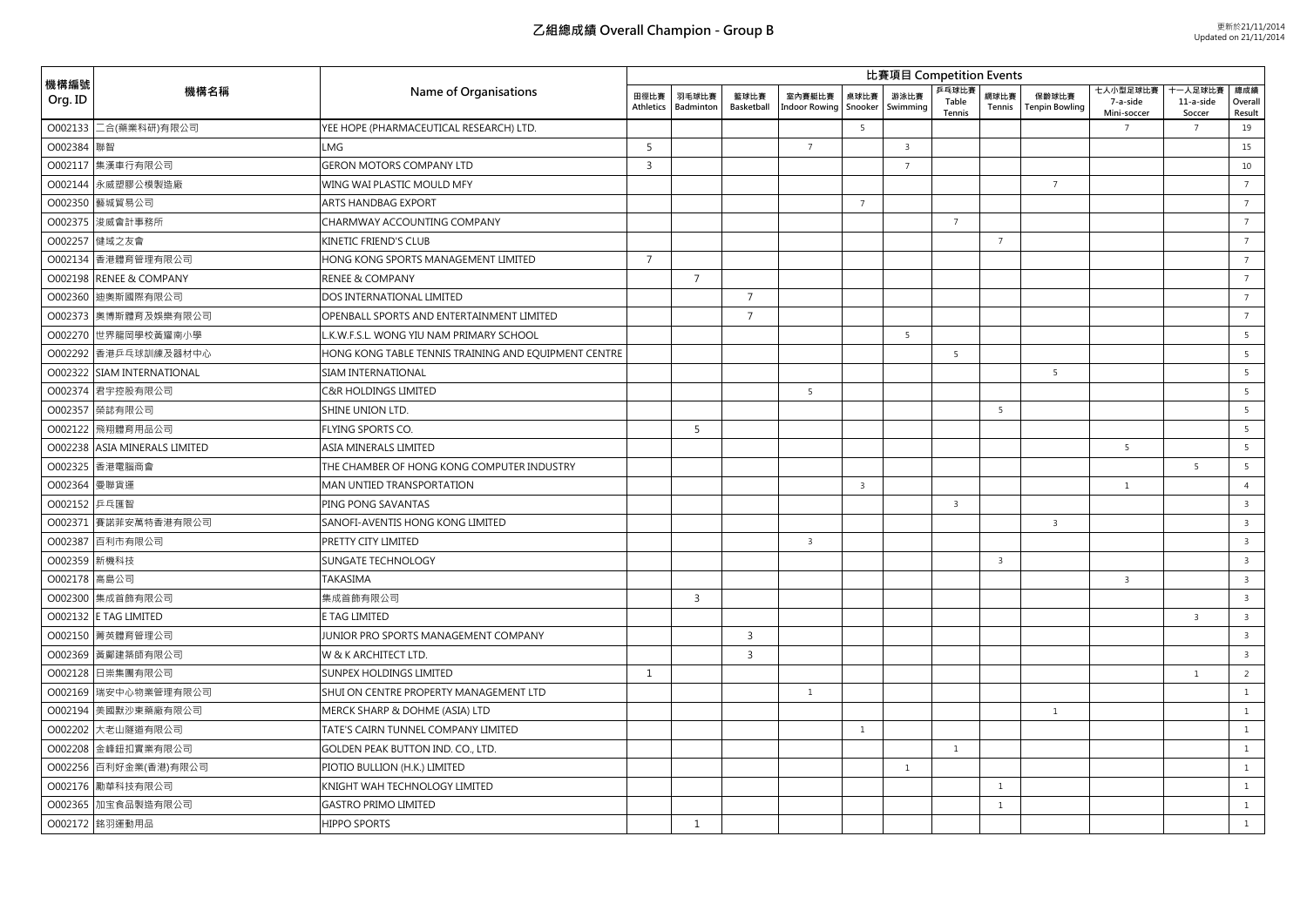| 機構編號<br>Org. ID |                               | Name of Organisations                                | <b>U</b> 表項目 Competition Events |                    |                    |                                |                 |                         |                          |                 |                         |                                     |                               |                          |  |
|-----------------|-------------------------------|------------------------------------------------------|---------------------------------|--------------------|--------------------|--------------------------------|-----------------|-------------------------|--------------------------|-----------------|-------------------------|-------------------------------------|-------------------------------|--------------------------|--|
|                 | 機構名稱                          |                                                      | 田徑比賽<br>Athletics               | 羽毛球比賽<br>Badmintor | 籃球比賽<br>Basketball | 室内賽艇比賽<br><b>Indoor Rowing</b> | 桌球比賽<br>Snooker | 游泳比賽<br>Swimming        | 乒乓球比賽<br>Table<br>Tennis | 網球比賽<br>Tennis  | 保齢球比賽<br>Tenpin Bowling | 七人小型足球比賽<br>7-a-side<br>Mini-soccer | 十一人足球比<br>11-a-side<br>Soccer | 總成績<br>Overall<br>Result |  |
| O002133         | 二合(藥業科研)有限公司                  | YEE HOPE (PHARMACEUTICAL RESEARCH) LTD.              |                                 |                    |                    |                                | 5               |                         |                          |                 |                         | $7^{\circ}$                         | $7\overline{ }$               | 19                       |  |
| O002384         | 聯智                            | LMG                                                  | 5                               |                    |                    | $\overline{7}$                 |                 | $\overline{\mathbf{3}}$ |                          |                 |                         |                                     |                               | 15                       |  |
|                 | O002117 集漢車行有限公司              | <b>GERON MOTORS COMPANY LTD</b>                      | $\overline{3}$                  |                    |                    |                                |                 | $\overline{7}$          |                          |                 |                         |                                     |                               | 10                       |  |
|                 | O002144 永威塑膠公模製造廠             | WING WAI PLASTIC MOULD MFY                           |                                 |                    |                    |                                |                 |                         |                          |                 | $\overline{7}$          |                                     |                               | $\overline{7}$           |  |
|                 | O002350 藝城貿易公司                | <b>ARTS HANDBAG EXPORT</b>                           |                                 |                    |                    |                                | $\overline{7}$  |                         |                          |                 |                         |                                     |                               | $\overline{7}$           |  |
|                 | O002375 浚威會計事務所               | CHARMWAY ACCOUNTING COMPANY                          |                                 |                    |                    |                                |                 |                         | $\overline{7}$           |                 |                         |                                     |                               | $7\overline{ }$          |  |
|                 | O002257 健域之友會                 | KINETIC FRIEND'S CLUB                                |                                 |                    |                    |                                |                 |                         |                          | $\overline{7}$  |                         |                                     |                               | $7^{\circ}$              |  |
|                 | 0002134 香港體育管理有限公司            | HONG KONG SPORTS MANAGEMENT LIMITED                  | $\overline{7}$                  |                    |                    |                                |                 |                         |                          |                 |                         |                                     |                               | $\overline{7}$           |  |
|                 | O002198 RENEE & COMPANY       | <b>RENEE &amp; COMPANY</b>                           |                                 | $\overline{7}$     |                    |                                |                 |                         |                          |                 |                         |                                     |                               | $7\overline{ }$          |  |
| O002360         | 迪奧斯國際有限公司                     | DOS INTERNATIONAL LIMITED                            |                                 |                    | $\overline{7}$     |                                |                 |                         |                          |                 |                         |                                     |                               | $\overline{7}$           |  |
|                 | O002373 奧博斯體育及娛樂有限公司          | OPENBALL SPORTS AND ENTERTAINMENT LIMITED            |                                 |                    | $\overline{7}$     |                                |                 |                         |                          |                 |                         |                                     |                               | $\overline{7}$           |  |
|                 | O002270 世界龍岡學校黃耀南小學           | K.W.F.S.L. WONG YIU NAM PRIMARY SCHOOL               |                                 |                    |                    |                                |                 | 5                       |                          |                 |                         |                                     |                               | 5                        |  |
|                 | ○○○2292 香港乒乓球訓練及器材中心          | HONG KONG TABLE TENNIS TRAINING AND EQUIPMENT CENTRE |                                 |                    |                    |                                |                 |                         | 5                        |                 |                         |                                     |                               | 5                        |  |
|                 | 0002322 SIAM INTERNATIONAL    | SIAM INTERNATIONAL                                   |                                 |                    |                    |                                |                 |                         |                          |                 | 5                       |                                     |                               | 5                        |  |
|                 | O002374 君宇控股有限公司              | C&R HOLDINGS LIMITED                                 |                                 |                    |                    | 5                              |                 |                         |                          |                 |                         |                                     |                               | 5                        |  |
|                 | O002357 榮誌有限公司                | SHINE UNION LTD.                                     |                                 |                    |                    |                                |                 |                         |                          | $5\overline{5}$ |                         |                                     |                               | 5                        |  |
|                 | O002122 飛翔體育用品公司              | FLYING SPORTS CO.                                    |                                 | 5                  |                    |                                |                 |                         |                          |                 |                         |                                     |                               | 5                        |  |
|                 | O002238 ASIA MINERALS LIMITED | ASIA MINERALS LIMITED                                |                                 |                    |                    |                                |                 |                         |                          |                 |                         | 5                                   |                               | 5                        |  |
|                 | O002325 香港電腦商會                | THE CHAMBER OF HONG KONG COMPUTER INDUSTRY           |                                 |                    |                    |                                |                 |                         |                          |                 |                         |                                     | 5                             | 5                        |  |
| O002364 曼聯貨運    |                               | MAN UNTIED TRANSPORTATION                            |                                 |                    |                    |                                | $\overline{3}$  |                         |                          |                 |                         | $\mathbf{1}$                        |                               | $\overline{4}$           |  |
| 0002152 乒乓匯智    |                               | PING PONG SAVANTAS                                   |                                 |                    |                    |                                |                 |                         | $\overline{\mathbf{3}}$  |                 |                         |                                     |                               | $\overline{3}$           |  |
|                 | 0002371 賽諾菲安萬特香港有限公司          | SANOFI-AVENTIS HONG KONG LIMITED                     |                                 |                    |                    |                                |                 |                         |                          |                 | $\overline{3}$          |                                     |                               | $\overline{\mathbf{3}}$  |  |
|                 | O002387 百利市有限公司               | PRETTY CITY LIMITED                                  |                                 |                    |                    | $\overline{\mathbf{3}}$        |                 |                         |                          |                 |                         |                                     |                               | $\overline{3}$           |  |
| O002359 新機科技    |                               | SUNGATE TECHNOLOGY                                   |                                 |                    |                    |                                |                 |                         |                          | $\overline{3}$  |                         |                                     |                               | $\overline{3}$           |  |
| 0002178 高島公司    |                               | TAKASIMA                                             |                                 |                    |                    |                                |                 |                         |                          |                 |                         | $\overline{3}$                      |                               | $\overline{\mathbf{3}}$  |  |
|                 | 0002300 集成首飾有限公司              | 集成首飾有限公司                                             |                                 | $\overline{3}$     |                    |                                |                 |                         |                          |                 |                         |                                     |                               | $\overline{3}$           |  |
|                 | O002132 E TAG LIMITED         | E TAG LIMITED                                        |                                 |                    |                    |                                |                 |                         |                          |                 |                         |                                     | $\overline{3}$                | $\overline{\mathbf{3}}$  |  |
|                 | O002150 菁英體育管理公司              | JUNIOR PRO SPORTS MANAGEMENT COMPANY                 |                                 |                    | $\overline{3}$     |                                |                 |                         |                          |                 |                         |                                     |                               | $\overline{3}$           |  |
|                 | O002369 黃鄺建築師有限公司             | W & K ARCHITECT LTD.                                 |                                 |                    | $\overline{3}$     |                                |                 |                         |                          |                 |                         |                                     |                               | $\overline{\mathbf{3}}$  |  |
| O002128         | 日崇集團有限公司                      | SUNPEX HOLDINGS LIMITED                              | $\mathbf{1}$                    |                    |                    |                                |                 |                         |                          |                 |                         |                                     | $\mathbf{1}$                  | $\overline{2}$           |  |
|                 | O002169 瑞安中心物業管理有限公司          | SHUI ON CENTRE PROPERTY MANAGEMENT LTD               |                                 |                    |                    | <sup>1</sup>                   |                 |                         |                          |                 |                         |                                     |                               | $\mathbf{1}$             |  |
|                 | 0002194 美國默沙東藥廠有限公司           | MERCK SHARP & DOHME (ASIA) LTD                       |                                 |                    |                    |                                |                 |                         |                          |                 | $\mathbf{1}$            |                                     |                               | <sup>1</sup>             |  |
| O002202         | 大老山隧道有限公司                     | TATE'S CAIRN TUNNEL COMPANY LIMITED                  |                                 |                    |                    |                                | $\mathbf{1}$    |                         |                          |                 |                         |                                     |                               | $\mathbf{1}$             |  |
| O002208         | 金峰鈕扣實業有限公司                    | GOLDEN PEAK BUTTON IND. CO., LTD.                    |                                 |                    |                    |                                |                 |                         | $\mathbf{1}$             |                 |                         |                                     |                               | $\mathbf{1}$             |  |
|                 | 0002256 百利好金業(香港)有限公司         | PIOTIO BULLION (H.K.) LIMITED                        |                                 |                    |                    |                                |                 | $\mathbf{1}$            |                          |                 |                         |                                     |                               | $\mathbf{1}$             |  |
|                 | O002176 勵華科技有限公司              | KNIGHT WAH TECHNOLOGY LIMITED                        |                                 |                    |                    |                                |                 |                         |                          | $\mathbf{1}$    |                         |                                     |                               | $\mathbf{1}$             |  |
| O002365         | 加宝食品製造有限公司                    | <b>GASTRO PRIMO LIMITED</b>                          |                                 |                    |                    |                                |                 |                         |                          | $\mathbf{1}$    |                         |                                     |                               | $\mathbf{1}$             |  |
|                 | O002172 銘羽運動用品                | <b>HIPPO SPORTS</b>                                  |                                 | 1                  |                    |                                |                 |                         |                          |                 |                         |                                     |                               | <sup>1</sup>             |  |